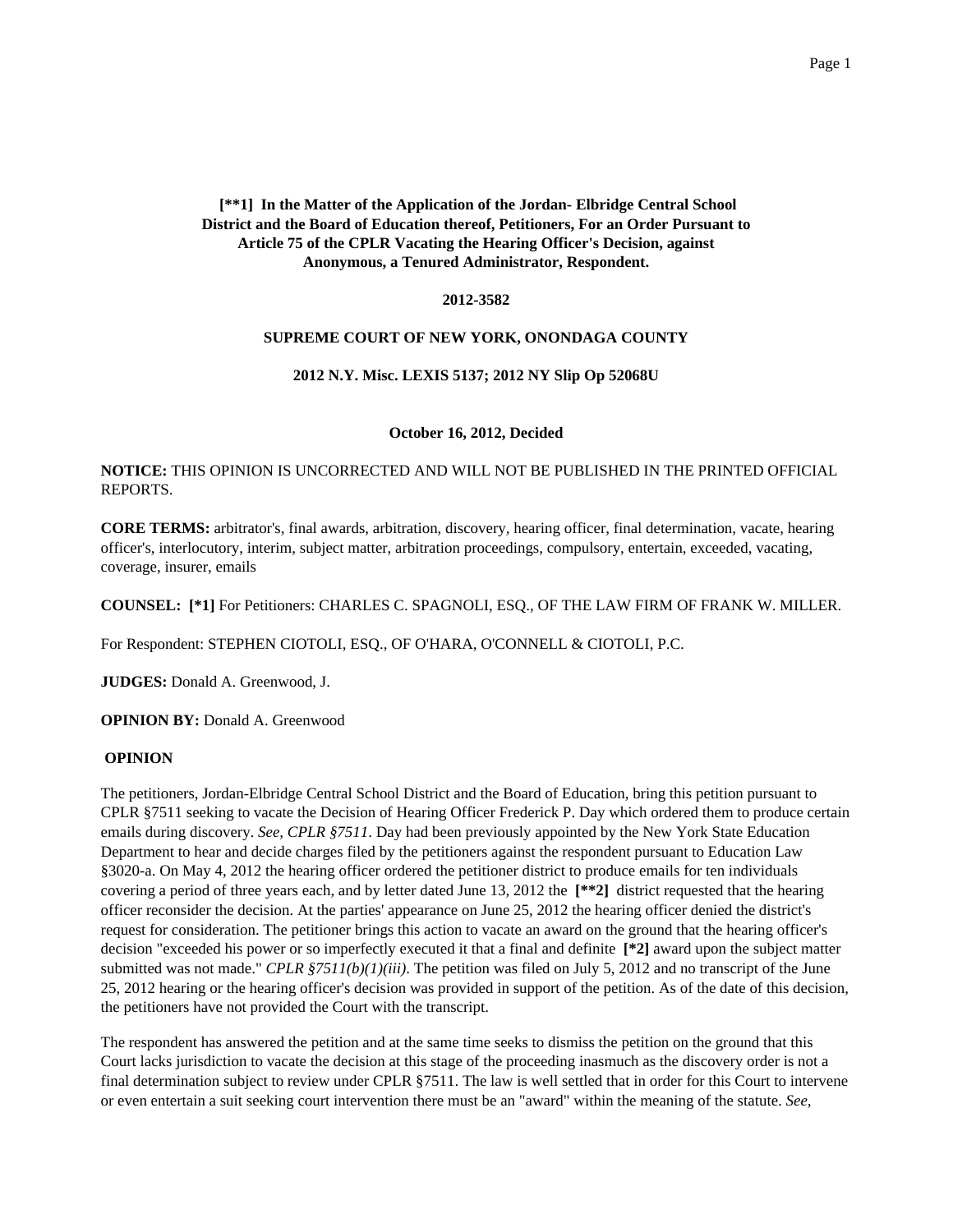# **[\*\*1] In the Matter of the Application of the Jordan- Elbridge Central School District and the Board of Education thereof, Petitioners, For an Order Pursuant to Article 75 of the CPLR Vacating the Hearing Officer's Decision, against Anonymous, a Tenured Administrator, Respondent.**

## **2012-3582**

### **SUPREME COURT OF NEW YORK, ONONDAGA COUNTY**

### **2012 N.Y. Misc. LEXIS 5137; 2012 NY Slip Op 52068U**

### **October 16, 2012, Decided**

# **NOTICE:** THIS OPINION IS UNCORRECTED AND WILL NOT BE PUBLISHED IN THE PRINTED OFFICIAL REPORTS.

**CORE TERMS:** arbitrator's, final awards, arbitration, discovery, hearing officer, final determination, vacate, hearing officer's, interlocutory, interim, subject matter, arbitration proceedings, compulsory, entertain, exceeded, vacating, coverage, insurer, emails

**COUNSEL: [\*1]** For Petitioners: CHARLES C. SPAGNOLI, ESQ., OF THE LAW FIRM OF FRANK W. MILLER.

For Respondent: STEPHEN CIOTOLI, ESQ., OF O'HARA, O'CONNELL & CIOTOLI, P.C.

**JUDGES:** Donald A. Greenwood, J.

**OPINION BY:** Donald A. Greenwood

### **OPINION**

The petitioners, Jordan-Elbridge Central School District and the Board of Education, bring this petition pursuant to CPLR §7511 seeking to vacate the Decision of Hearing Officer Frederick P. Day which ordered them to produce certain emails during discovery. *See, CPLR §7511*. Day had been previously appointed by the New York State Education Department to hear and decide charges filed by the petitioners against the respondent pursuant to Education Law §3020-a. On May 4, 2012 the hearing officer ordered the petitioner district to produce emails for ten individuals covering a period of three years each, and by letter dated June 13, 2012 the **[\*\*2]** district requested that the hearing officer reconsider the decision. At the parties' appearance on June 25, 2012 the hearing officer denied the district's request for consideration. The petitioner brings this action to vacate an award on the ground that the hearing officer's decision "exceeded his power or so imperfectly executed it that a final and definite **[\*2]** award upon the subject matter submitted was not made." *CPLR §7511(b)(1)(iii)*. The petition was filed on July 5, 2012 and no transcript of the June 25, 2012 hearing or the hearing officer's decision was provided in support of the petition. As of the date of this decision, the petitioners have not provided the Court with the transcript.

The respondent has answered the petition and at the same time seeks to dismiss the petition on the ground that this Court lacks jurisdiction to vacate the decision at this stage of the proceeding inasmuch as the discovery order is not a final determination subject to review under CPLR §7511. The law is well settled that in order for this Court to intervene or even entertain a suit seeking court intervention there must be an "award" within the meaning of the statute. *See,*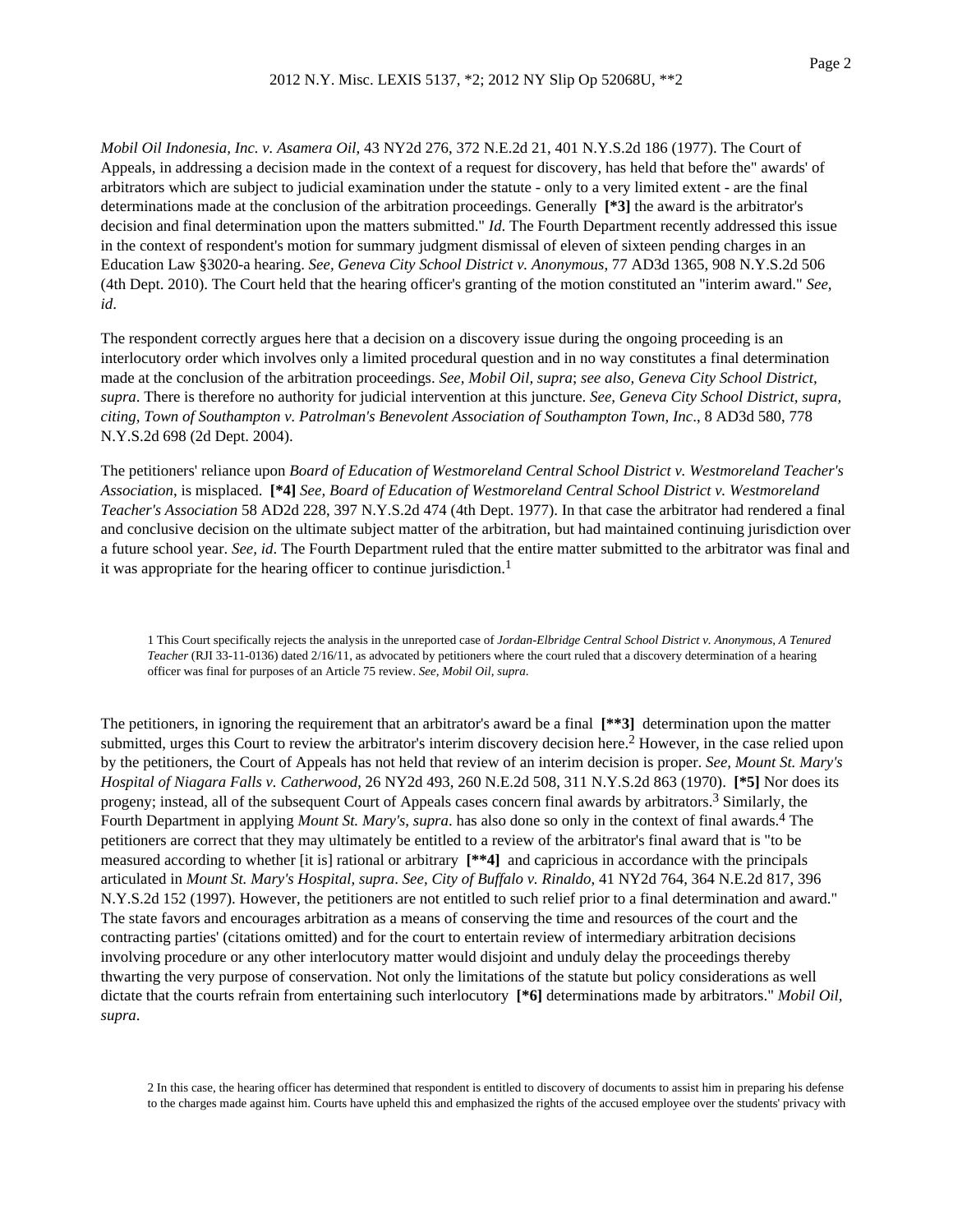*Mobil Oil Indonesia, Inc. v. Asamera Oil*, 43 NY2d 276, 372 N.E.2d 21, 401 N.Y.S.2d 186 (1977). The Court of Appeals, in addressing a decision made in the context of a request for discovery, has held that before the" awards' of arbitrators which are subject to judicial examination under the statute - only to a very limited extent - are the final determinations made at the conclusion of the arbitration proceedings. Generally **[\*3]** the award is the arbitrator's decision and final determination upon the matters submitted." *Id*. The Fourth Department recently addressed this issue in the context of respondent's motion for summary judgment dismissal of eleven of sixteen pending charges in an Education Law §3020-a hearing. *See, Geneva City School District v. Anonymous*, 77 AD3d 1365, 908 N.Y.S.2d 506 (4th Dept. 2010). The Court held that the hearing officer's granting of the motion constituted an "interim award." *See, id*.

The respondent correctly argues here that a decision on a discovery issue during the ongoing proceeding is an interlocutory order which involves only a limited procedural question and in no way constitutes a final determination made at the conclusion of the arbitration proceedings. *See, Mobil Oil, supra*; *see also, Geneva City School District, supra*. There is therefore no authority for judicial intervention at this juncture. *See, Geneva City School District, supra, citing, Town of Southampton v. Patrolman's Benevolent Association of Southampton Town, Inc*., 8 AD3d 580, 778 N.Y.S.2d 698 (2d Dept. 2004).

The petitioners' reliance upon *Board of Education of Westmoreland Central School District v. Westmoreland Teacher's Association*, is misplaced. **[\*4]** *See, Board of Education of Westmoreland Central School District v. Westmoreland Teacher's Association* 58 AD2d 228, 397 N.Y.S.2d 474 (4th Dept. 1977). In that case the arbitrator had rendered a final and conclusive decision on the ultimate subject matter of the arbitration, but had maintained continuing jurisdiction over a future school year. *See, id*. The Fourth Department ruled that the entire matter submitted to the arbitrator was final and it was appropriate for the hearing officer to continue jurisdiction.<sup>1</sup>

1 This Court specifically rejects the analysis in the unreported case of *Jordan-Elbridge Central School District v. Anonymous, A Tenured Teacher* (RJI 33-11-0136) dated 2/16/11, as advocated by petitioners where the court ruled that a discovery determination of a hearing officer was final for purposes of an Article 75 review. *See, Mobil Oil, supra*.

The petitioners, in ignoring the requirement that an arbitrator's award be a final **[\*\*3]** determination upon the matter submitted, urges this Court to review the arbitrator's interim discovery decision here.<sup>2</sup> However, in the case relied upon by the petitioners, the Court of Appeals has not held that review of an interim decision is proper. *See, Mount St. Mary's Hospital of Niagara Falls v. Catherwood*, 26 NY2d 493, 260 N.E.2d 508, 311 N.Y.S.2d 863 (1970). **[\*5]** Nor does its progeny; instead, all of the subsequent Court of Appeals cases concern final awards by arbitrators.3 Similarly, the Fourth Department in applying *Mount St. Mary's, supra*. has also done so only in the context of final awards.4 The petitioners are correct that they may ultimately be entitled to a review of the arbitrator's final award that is "to be measured according to whether [it is] rational or arbitrary **[\*\*4]** and capricious in accordance with the principals articulated in *Mount St. Mary's Hospital, supra*. *See, City of Buffalo v. Rinaldo*, 41 NY2d 764, 364 N.E.2d 817, 396 N.Y.S.2d 152 (1997). However, the petitioners are not entitled to such relief prior to a final determination and award." The state favors and encourages arbitration as a means of conserving the time and resources of the court and the contracting parties' (citations omitted) and for the court to entertain review of intermediary arbitration decisions involving procedure or any other interlocutory matter would disjoint and unduly delay the proceedings thereby thwarting the very purpose of conservation. Not only the limitations of the statute but policy considerations as well dictate that the courts refrain from entertaining such interlocutory **[\*6]** determinations made by arbitrators." *Mobil Oil, supra*.